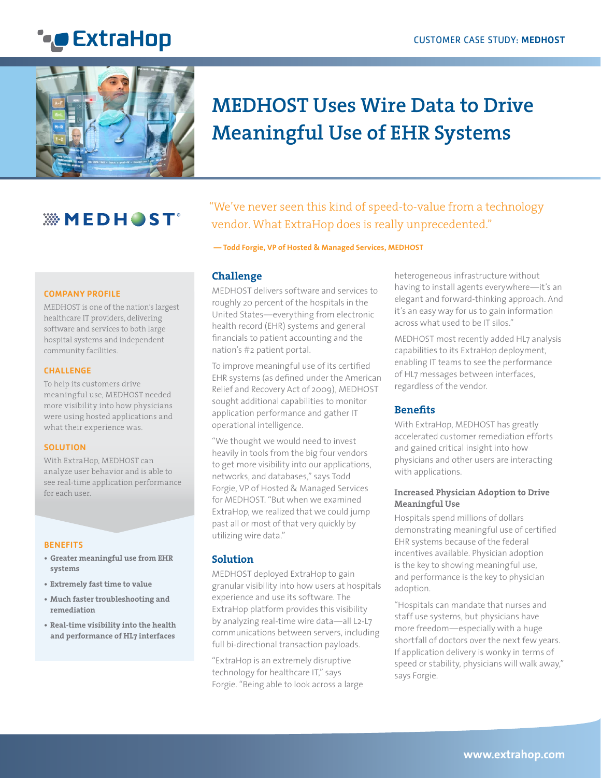



# **MEDHOST Uses Wire Data to Drive Meaningful Use of EHR Systems**

## *WMEDHOST*

#### COMPANY PROFILE

what it our more of the nations ian<br>healthcare IT providers, delivering software and services to both large hospital systems and independent community facilities. MEDHOST is one of the nation's largest

#### **CHALLENGE**

re nerp ne castemers arric<br>meaningful use, MEDHOST needed more visibility into how physicians were using hosted applications and what their experience was. To help its customers drive

#### **SOLUTION**

With ExtraHop, MEDHOST can analyze user behavior and is able to see real-time application performance for each user.

#### BENEFITS BENEFITS

- **• 90% reduction in MTTR for • Greater meaningful use from EHR complex problems systems**
- **• Better accountability from • Extremely fast time to value**
- **third-party vendors • Much faster troubleshooting and • Precise insight into remediation**
- **performance issues • Real-time visibility into the health and performance of HL7 interfaces**

"We've never seen this kind of speed-to-value from a technology vendor. What ExtraHop does is really unprecedented."

 **— Todd Forgie, VP of Hosted & Managed Services, MEDHOST**

#### **Challenge**

MEDHOST delivers software and services to roughly 20 percent of the hospitals in the United States—everything from electronic health record (EHR) systems and general financials to patient accounting and the nation's #2 patient portal.

To improve meaningful use of its certified EHR systems (as defined under the American Relief and Recovery Act of 2009), MEDHOST sought additional capabilities to monitor application performance and gather IT operational intelligence.

"We thought we would need to invest heavily in tools from the big four vendors to get more visibility into our applications, networks, and databases," says Todd Forgie, VP of Hosted & Managed Services for MEDHOST. "But when we examined ExtraHop, we realized that we could jump past all or most of that very quickly by utilizing wire data."

#### **Solution**

MEDHOST deployed ExtraHop to gain granular visibility into how users at hospitals experience and use its software. The ExtraHop platform provides this visibility by analyzing real-time wire data—all L2-L7 communications between servers, including full bi-directional transaction payloads.

"ExtraHop is an extremely disruptive technology for healthcare IT," says Forgie. "Being able to look across a large heterogeneous infrastructure without having to install agents everywhere—it's an elegant and forward-thinking approach. And it's an easy way for us to gain information across what used to be IT silos."

MEDHOST most recently added HL7 analysis capabilities to its ExtraHop deployment, enabling IT teams to see the performance of HL7 messages between interfaces, regardless of the vendor.

#### **Benefits**

With ExtraHop, MEDHOST has greatly accelerated customer remediation efforts and gained critical insight into how physicians and other users are interacting with applications.

#### **Increased Physician Adoption to Drive Meaningful Use**

Hospitals spend millions of dollars demonstrating meaningful use of certified EHR systems because of the federal incentives available. Physician adoption is the key to showing meaningful use, and performance is the key to physician adoption.

"Hospitals can mandate that nurses and staff use systems, but physicians have more freedom—especially with a huge shortfall of doctors over the next few years. If application delivery is wonky in terms of speed or stability, physicians will walk away," says Forgie.